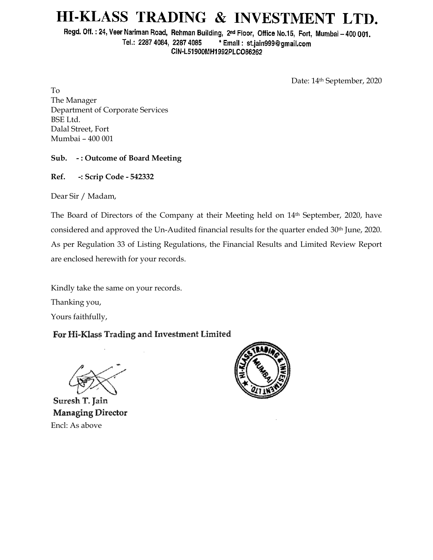# HI-KLASS TRADING & INVESTMENT LTD.

Regd. Off.: 24, Veer Nariman Road, Rehman Building, 2nd Floor, Office No.15, Fort, Mumbai - 400 001. Tel.: 2287 4084, 2287 4085 \* Email: st.jain999@gmail.com CIN-L51900MH1992PLCO66262

Date: 14th September, 2020

To The Manager Department of Corporate Services BSE Ltd. Dalal Street, Fort Mumbai – 400 001

#### **Sub. - : Outcome of Board Meeting**

**Ref. -: Scrip Code - 542332**

Dear Sir / Madam,

The Board of Directors of the Company at their Meeting held on 14th September, 2020, have considered and approved the Un-Audited financial results for the quarter ended 30<sup>th</sup> June, 2020. As per Regulation 33 of Listing Regulations, the Financial Results and Limited Review Report are enclosed herewith for your records.

Kindly take the same on your records. Thanking you,

Yours faithfully,

### For Hi-Klass Trading and Investment Limited

Suresh T. Jain Managing Director Encl: As above

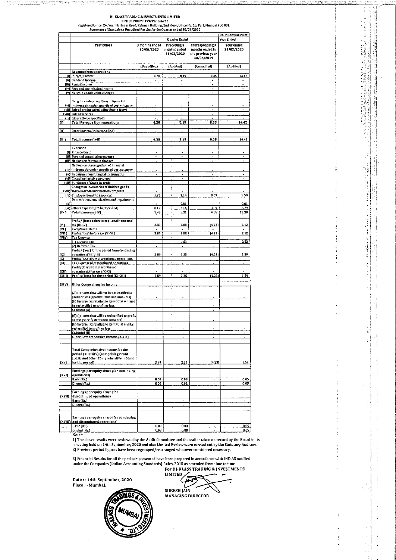HI-KLASS TRADING & INVESTMENTS LIMITED<br>CIN: L51900MH1992PLC066262<br>Statement of Dandiann Road, Rehman Bulding, 2nd Floor, Office No. 15, Fort, Mumbai 400 001.<br>Statement of Standalone Unaudited Results for the Quarter ended

÷,

Ĩ

J.

1. 2010年4月

di propinsi pengeranan ke

j ł,

į  $\frac{1}{2}$ 

|                | statement or standardive onadqued ivesures for the Quarter ended SO/00/2020                      |                                              |                                           |                                                                       | (Rs. In Lacs/amount)     |
|----------------|--------------------------------------------------------------------------------------------------|----------------------------------------------|-------------------------------------------|-----------------------------------------------------------------------|--------------------------|
|                |                                                                                                  |                                              | <b>Quarter Ended</b>                      |                                                                       | Year Ended               |
|                | <b>Particulars</b>                                                                               | 3 months ended<br>30/06/2020                 | Preceding 3<br>months ended<br>31/03/2020 | Corresponding 3<br>months ended in<br>the previous year<br>30/06/2019 | Year ended<br>31/03/2020 |
|                |                                                                                                  | (Unaudited)                                  | (Audited)                                 | (Unaudited)                                                           | (Audited)                |
|                | <b>Revenue from operations</b><br>[i] Interest Income                                            | 4.38                                         | 8.19                                      | 0.35                                                                  | 14.42                    |
|                | (ii) Dividend Income                                                                             | $\cdot$                                      | $\blacksquare$<br>٠                       | $\bullet$                                                             | ۰                        |
|                | (iii) Rental Income<br>(iv) Fees and commission Income                                           | $\cdot$                                      | $\bullet$<br>ä,                           | ä,<br>ä,                                                              | ÷,<br>٠                  |
|                | (v) Net gain on fair value changes                                                               | ٠                                            |                                           | ÷,                                                                    |                          |
| ſviì           | Net gain on derecognition of financial<br>instruments under amortised cost category              |                                              |                                           |                                                                       |                          |
|                | (vii) Sale of products (including Excise Duty)                                                   |                                              | ٠                                         | ۰                                                                     | Ĭ.                       |
|                | (viii) Sale of services<br>(ix) 0thers [to be specified}                                         | $\cdot$                                      | ٠<br>٠                                    | ٠                                                                     | Ĭ.                       |
| m              | <b>Total Revenue from operations</b>                                                             | 4.38                                         | 8.19                                      | 0.35                                                                  | 14.42                    |
| (11)           | Other Income (to be specified)                                                                   | ÷                                            |                                           |                                                                       |                          |
|                |                                                                                                  |                                              |                                           |                                                                       |                          |
| тm             | Total Income (1+II)                                                                              | 4.38                                         | 8.19                                      | 0.35                                                                  | 14.42                    |
|                | Expenses                                                                                         |                                              |                                           |                                                                       |                          |
|                | [1] Finance Costs                                                                                | $\overline{\phantom{a}}$                     | $\blacksquare$                            | $\blacksquare$                                                        | $\tilde{\phantom{a}}$    |
|                | (ii) Fees and commission expense<br>(UI) Net loss on fair value changes                          | ٠                                            | ٠                                         |                                                                       | ٠                        |
|                | Net loss on derecognition of financial                                                           |                                              |                                           |                                                                       |                          |
|                | (iv) instruments under amortised cost category                                                   |                                              |                                           |                                                                       |                          |
|                | (v) Impairment on financial instruments<br>(vi) Cost of materials consumed                       | $\ddot{\phantom{a}}$<br>$\ddot{\phantom{0}}$ | ¥                                         | $\bullet$<br>٠                                                        | ۰<br>$\bullet$           |
|                | [VII] Purchases of Stock-in-trade                                                                |                                              |                                           |                                                                       |                          |
|                | Changes in Inventories of finished goods,                                                        |                                              | ŧ                                         |                                                                       |                          |
|                | (vili} stock-in-trade and work-in- progress<br>[ix] Employee Benefits Expenses                   | 1.36                                         | ÷<br>3.14                                 | 0.69                                                                  | 5.50                     |
|                | Depreciation, amortization and impairment                                                        |                                              |                                           |                                                                       |                          |
| I×.            | [xi] Others expenses [to be specified]                                                           | 0.12                                         | 0.01                                      | 3.89                                                                  | 0.01<br>6.79             |
| (IV)           | <b>Total Expenses (IV)</b>                                                                       | 1.48                                         | 2.16<br>5.31<br>$\mathbf{r}$              | 4.58                                                                  | 12.30                    |
|                |                                                                                                  |                                              | $\alpha$<br>$\ddot{\phantom{a}}$          |                                                                       |                          |
| <u>(۷)</u>     | Profit / (loss) before exceptional items and<br>tax (111-3V)                                     | 2.89                                         | 2.88                                      | (4.23)                                                                | 2.12                     |
| $\overline{N}$ | <b>Exceptional Items</b>                                                                         |                                              |                                           |                                                                       |                          |
| (VII)          | Profit/(loss) before tax (V -Vi )                                                                | 2.89                                         | 2.88<br>$\overline{\phantom{a}}$          | (4.23)                                                                | 2.12                     |
| (VIII)         | Tax Expense:<br>[1] Current Tax                                                                  |                                              | 0.53                                      |                                                                       | 0.53                     |
|                | (2) Deferred Tax                                                                                 | ٠                                            | ٠<br>τ                                    |                                                                       |                          |
| (1X)           | Profit / (loss) for the period from continuing<br>operations(VII-VIII)                           | 2.89                                         | J.<br>2.35                                | [4.23]                                                                | 1.59                     |
| $\alpha$       | Profit/(loss) from discontinued operations                                                       |                                              |                                           |                                                                       |                          |
| (XI)           | Tax Expense of discontinued operations                                                           |                                              | í,                                        | ä,                                                                    | ٠                        |
| (XII)          | Profit/(lass) from discontinued<br>operations [After tax] [X-XI]                                 |                                              | ÷                                         |                                                                       |                          |
| (XIII)         | Profit/(loss) for the period (IX+XII)                                                            | 2.89                                         | ۰.<br>2.35                                | (4.23)                                                                | 1.59                     |
| <b>(XIV)</b>   | Other Comprehensive Income                                                                       |                                              | $\epsilon$                                |                                                                       |                          |
|                | (A) (i) Items that will not be reclassified to                                                   |                                              |                                           |                                                                       |                          |
|                | profit or loss (specify items and amounts)                                                       |                                              |                                           |                                                                       |                          |
|                | [ii] Income tax relating to items that will not                                                  |                                              | k,                                        |                                                                       |                          |
|                | be reclassified to profit or loss<br>(Subtotal (A                                                | ٠                                            | ï<br>٠                                    |                                                                       |                          |
|                | [B] [i] Items that will be reclassified to profit                                                |                                              |                                           |                                                                       |                          |
|                | or loss (specify items and amounts)                                                              |                                              |                                           |                                                                       |                          |
|                | (ii) Income tax relating to Items that will be<br>reclassified to profit or loss                 |                                              |                                           |                                                                       |                          |
|                | Subtotal (B)                                                                                     |                                              |                                           |                                                                       |                          |
|                | Other Comprehensive Income (A + B)                                                               |                                              | ä                                         | ÷                                                                     |                          |
|                | Total Comprehensive Income for the                                                               |                                              |                                           |                                                                       |                          |
| (XV)           | period (XIII+XIV) (Comprising Profit<br>(Loss) and other Comprehensive income<br>for the period) | 2.89                                         | 2.35                                      | (4.23)                                                                | 1.59                     |
|                | Earnings per equity share (for continuing                                                        |                                              |                                           |                                                                       |                          |
| (XVI)          | operations)<br>Basic (Rs.)                                                                       | 0.09                                         | 0.08                                      |                                                                       | 0.05                     |
|                | Diluted [Rs.]                                                                                    | 0.09                                         | 0.08                                      |                                                                       | 0.05                     |
| (XVII)         | Earnings per equity share (for<br>discontinued operations)                                       |                                              |                                           |                                                                       |                          |
|                | Basic (Rs.)                                                                                      |                                              |                                           |                                                                       | ٠                        |
|                | <b>Diluted (Rs.)</b>                                                                             |                                              |                                           | ¥                                                                     | $\cdot$                  |
|                | Earnings per equity share (for continuing                                                        |                                              |                                           |                                                                       |                          |
|                | (XVIII) and discontinued operations)<br>Basic (Rs.)                                              | 0.09                                         | 0.08                                      |                                                                       | 0.05                     |
|                | <b>Diluted (Rs.)</b>                                                                             | 0.09                                         | 80.0                                      |                                                                       | 0.05                     |

Notes:<br>
1) The above results were reviewed by the Audit Committee and thereafter taken on record by the Board in its meeting held on 14th September, 2020 and also Limited Review were carried out by the Statutory Auditors. 2) Previous period figures have been regrouped/rearranged wherever considered necessary.

3) Financial Results for all the periods presented have been prepared In accordance with IND AS notified<br>under the Companies (Indian Accounting Standards) Rules, 2015 as amended from time to time<br>For HI•KLASS TRADING & INV

Date: 14th September, 2020 Place: Mumbal.



**LIMITED** 祘 SURESH JAIN<br>MANAGING DIRECTOR